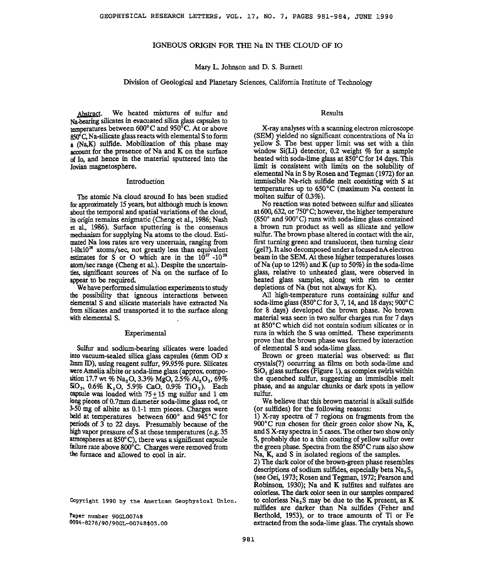# **IGNEOUS ORIGIN FOR THE Na IN THE CLOUD OF IO**

## **Mary L. Johnson and D. S. Burnett**

# **Division of Geological and Planetary Sciences, California Institute of Technology**

**Abstract. We heated mixtures of sulfur and Na-bearing silicates in evacuated silica glass capsules to**  temperatures between 600°C and 950°C. At or above **850 ø C, Na-silicate glass reacts with elememal S to form a (Na, K) sulfide. Mobilization of this phase may account for the presence of Na and K on the surface of Io, and hence in the material sputtered into the Jovian magnetosphere.** 

#### **Introduction**

**The atomic Na cloud around Io has been studied for approximately 15years, but although much is known about the temporal and spatial variations of the cloud, its origin remains enigmatic (Cheng et al., 1986; Nash et al., 1986). Surface sputtering is the consensus mechanism for supplying Na atoms to the cloud. Estimated Na loss rates are very uncertain, ranging from 1-10x10 • atoms/see, not greatly less than equivalent**  estimates for S or O which are in the  $10^{27}$  -10<sup>29</sup> **atom/sec range (Cheng et al.). Despite the uncertainties, significant sources of Na on the surface of Io appeax to be required.** 

**We have performed simulation experiments to study be possibility that igneous interactions between elemental S and silicate materials have extracted Na from silicates and transported it to the surface along**  with elemental S.

#### **Experimental**

**Sulfur and sodium-beating silicates were loaded into vacuum-sealed silica glass capsules (6ram OD x**  2mm ID), using reagent sulfur, 99.95% pure. Silicates **were Amelia albite or soda-lime glass (approx. compo-** $\sin 17.7$  wt % Na<sub>2</sub>O, 3.3% MgO, 2.5% Al<sub>2</sub>O<sub>3</sub>, 69% SiO<sub>2</sub>, 0.6% K<sub>2</sub>O, 5.9% CaO, 0.9% TiO<sub>2</sub>). Each **capsule was loaded with 75 + 15 mg sulfur and 1 cm long pieces of 0.7ram diameter soda-lime glass rod, or 3-50 mg of albite as 0.1-1 mm pieces. Charges were**  held at temperatures between 600° and 945°C for **periods of 3 to 22 days. Presumably because of the high vapor pressure of S at these temperatures (e.g. 35**  atmospheres at 850°C), there was a significant capsule failure rate above 800°C. Charges were removed from the furnace and allowed to cool in air.

**Copyright 1990 by the American Geophysical Union.** 

**Paper number 90GL00748 0094-8276/90 /90GL-00748503. O0** 

#### **Results**

**X-ray analyses with a scanning electron microscope (SEM) yielded no significant concentrations of Na in yellow S. The best upper limit was set with a thin window Si(Li) detector, 0.2 weight % for a sample**  heated with soda-lime glass at 850°C for 14 days. This **limit is consistent with limits on the solubility of**  elemental Na in S by Rosen and Tegman (1972) for an **immiscible Na-rich sulfide melt coexisting with S at**  temperatures up to 650°C (maximum Na content in **molten sulfur of 0.3%).** 

**No reaction was noted between sulfur and silicates**  at 600, 632, or 750°C; however, the higher temperature (850<sup>°</sup> and 900<sup>°</sup>C) runs with soda-lime glass contained **a brown run product as well as silicate and yellow sulfur. The brown phase altered in contact with the air, first turning green and translucent, then turning clear (gel?). It also decomposed under a focused nA electron beam in the SEM. At these higher temperatures losses of Na (up to 12%) and K (up to 50%) in the soda-lime glass, relative to unheated glass, were observed in heated glass samples, along with rim to center depletions of Na (but not always for K).** 

**All high-temperature runs containing sulfur and**  soda-lime glass (850°C for 3, 7, 14, and 18 days; 900°C **for 8 days) developed the brown phase. No brown material was seen in two sulfur charges run for 7 days at 850øC which did not contain sodium silicates or in runs in which the S was omitted. These experiments prove that the brown phase was formed by imeraction of elemental S and soda-lime glass.** 

**Brown or green material was observed: as flat crystals(?) occurring as films on both soda-lime and**  SiO<sub>2</sub> glass surfaces (Figure 1), as complex swirls within **the quenched sulfur, suggesting an immiscible melt phase, and as angular chunks or dark spots in yellow sulfur.** 

**We believe that this brown material is alkali sulfide (or su!fides) for the following reasons:** 

**!) X-ray spectra of 7 regions on fragments from the**  900°C run chosen for their green color show Na, K, **and S X-ray spectra in 5 cases. The other two show only S, probably due to a thin coating of yellow sulfur over**  the green phase. Spectra from the 850°C runs also show **Na, K, and S in isolated regions of the samples.** 

**2) The dark color of the brown-green phase resembles**  descriptions of sodium sulfides, especially beta Na<sub>2</sub> S<sub>2</sub> **(see Oei, 1973; Rosen and Tegman, 1972; Pearson and Robinson, 1930); Na and K sulfites and sulfates are colorless. The dark color seen in our samples compared**  to colorless  $Na<sub>2</sub>S$  may be due to the K present, as K **sulfides are darker than Na sulfides (Feher and Berthold, 1953), or to trace amounts of Ti or Fe extracted from the soda-lime glass. The crystals shown**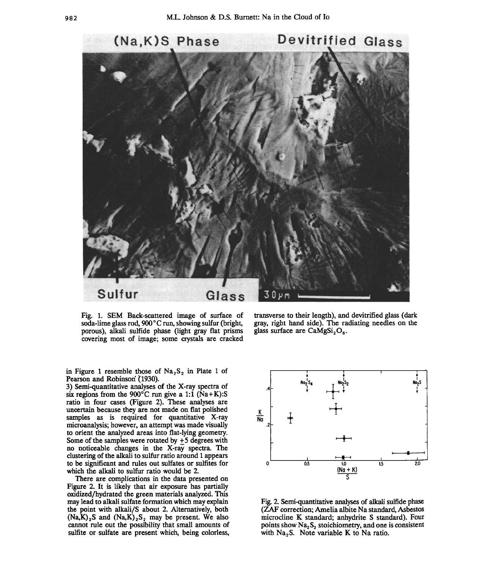

**Fig. 1. SEM Back-scattered image of surface of**  soda-lime glass rod, 900°C run, showing sulfur (bright, **porous), alkali sulfide phase (light gray flat prisms covering most of image; some crystals are cracked** 

in Figure 1 resemble those of  $Na<sub>2</sub>S<sub>2</sub>$  in Plate 1 of Pearson and Robinson (1930).

**3) Semi-quantitative analyses of the X-ray spectra of**  six regions from the 900 $^{\circ}$ C run give a 1:1 ( $\hat{N}a+K$ ):S **ratio in four cases (Figure 2). These analyses are uncertain because they are not made on flat polished samples as is required for quantitative X-ray microanalysis; however, an attempt was made visually to orient the analyzed areas into flat-lying geometry. Some of the samples were rotated by +5 degrees with no noticeable changes in the X-ray spectra. The clustering of the alkali to sulfur ratio around 1 appears to be significant and rules out sulfates or sulfites for which the alkali to sulfur ratio would be 2.** 

**There are complications in the data presented on Figure 2. It is likely that air exposure has partially oxidized/hydrated the green materials analyzed. This may lead to alkali sulfate formation which may explain the point with alkali/S about 2. Alternatively, both**   $(Na,K)_{2}S$  and  $(Na,K)_{2}S_{2}$  may be present. We also **cannot rule out the possibility that small amounts of sulfite or sulfate are present which, being colorless,** 

**transverse to their length), and devitrified glass (dark gray, right hand side). The radiating needles on the**  glass surface are CaMgSi<sub>2</sub>O<sub>6</sub>.



**Fig. 2. Semi-quantitative analyses of alkali sulfide phase (ZAF correction; Amelia albite Na standard, Asbestos microcline K standard; anhydrite S standard). Four**  points show Na<sub>2</sub>S<sub>2</sub> stoichiometry, and one is consistent with Na<sub>2</sub>S. Note variable K to Na ratio.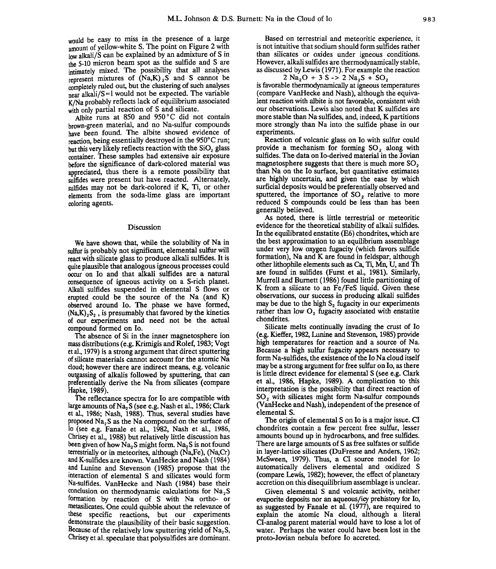would be easy to miss in the presence of a large **amount of yellow-white S. The point on Figure 2 with low alkali/S can be explained by an admixture of S in the 5-10 micron beam spot as the sulfide and S are intimately mixed. The possibility that all analyses represent mixtures of (Na,K)<sub>2</sub>S and S cannot be**<br>classicaled out but the clustering of such analyses **completely rued out, but the clustering of such analyses**  near alkali/S = 1 would not be expected. The variable **K/Na probably reflects lack of equilibrium associated with only partial reaction of S and silicate.** 

Albite runs at 850 and 950°C did not contain **brown-green material, and no Na-sulfur compounds have been found. The albite showed evidence of**  reaction, being essentially destroyed in the 950°C run: but this very likely reflects reaction with the SiO<sub>2</sub> glass **container. These samples had extensive air exposure before the significance of dark-colored material was**  appreciated, thus there is a remote possibility that **sulfides were present but have reacted. Alternately, mlfides may not be dark-colored if K, Ti, or other elements from the soda-lime glass are important coloring agents.** 

#### **Discussion**

**We have shown that, while the solubility of Na in sulfur is probably not significant, elemental sulfur will react with silicate glass to produce alkali sulfides. It is quite plausible that analogous igneous processes could occur on Io and that alkali sulfides are a natural consequence of igneous activity on a S-rich planet. 3dkali sulfides suspended in elemental S flows or erupted could be the source of the Na (and K) observed around Io. The phase we have formed,**   $(Na,K)_{2}S_{2}$ , is presumably that favored by the kinetics **of our experiments and need not be the actual compound formed on Io.** 

**The absence of Si in the inner magnetosphere ion mass distributions (e.g. Krimigis and'Rolef, 1983; Vogt et al., 1979) is a strong argument that direct sputtering of silicate materials cannot account for the atomic Na cloud; however there are indirect means, e.g. volcanic outgassing ofalkalis followed by sputtering, that can preferentially derive the Na from silicates (compare Hapke, 1989).** 

**The reflectance spectra for Io are compatible with**  large amounts of Na<sub>2</sub>S (see e.g. Nash et al., 1986; Clark **et al., 1986; Nash, 1988). Thus, several studies have proposed Na2S as the Na compound on the surface of Io (see e.g. Fanale et al., 1982, Nash et al., 1986, Chrisey etal., 1988) but relatively little discussion has**  been given of how Na<sub>2</sub>S might form. Na<sub>2</sub>S is not found terrestrially or in meteorites, although (Na,Fe), (Na,Cr) **and K-sulfides are known. VanHecke and Nash (1984) and Lunine and Stevenson (1985) propose that the interaction of elemental S and silicates would form Na-sulfides. VanHecke and Nash (1984) base their**  conclusion on thermodynamic calculations for Na<sub>2</sub>S **formation by reaction of S with Na ortho- or**  metasilicates. One could quibble about the relevance of **these specific reactions, but our experiments**  demonstrate the plausibility of their basic suggestion. Because of the relatively low sputtering yield of Na<sub>2</sub>S, Chrisey et al. speculate that polysulfides are dominant.

**Based on terrestrial and meteoritic experience, it is not intuitive that sodium should form sulfides rather than silicates or oxides under igneous conditions. However, alkali sulfides are thermodynamically stable, as discussed by Lewis (1971). For example the reaction** 

 $2 \text{ Na}_2\text{O} + 3 \text{ S} - 2 \text{ Na}_2\text{S} + \text{SO}_2$ **is favorable thermodynamically at igneous temperatures (compare VanHecke and Nash), although the equivalent reaction with albite is not favorable, consistent with our observations. Lewis also noted that K sulfides are more stable than Na sulfides, and, indeed, K partitions more strongly than Na into the sulfide phase in our experiments.** 

**Reaction of volcanic glass on Io with sulfur could**  provide a mechanism for forming SO<sub>2</sub> along with **sulfides. The data on Io-derived material in the Jovian**  magnetosphere suggests that there is much more SO<sub>2</sub> **than Na on the Io surface, but quantitative estimates are highly uncertain, and given the ease by which surficial deposits would be preferentially observed and**  sputtered, the importance of SO<sub>2</sub> relative to more **reduced S compounds could be less than has been generally believed.** 

**As noted, there is little terrestrial or meteoritic evidence for the theoretical stability of alkali sulfides. In the equilibrated enstatite (E6) chondrites, which are the best approximation to an equilibrium assemblage under very low oxygen fugacity (which favors sulfide formation), Na and K are found in feldspar, although other lithophile elements such as Ca, Ti, Mn, U, and Th are found in sulfides (Furst et al., 1981). Similarly, Murrell and Burnett (1986) found little partitioning of K from a silicate to an Fe/FeS liquid. Given these observations, our success in producing alkali sulfides**  may be due to the high S<sub>2</sub> fugacity in our experiments rather than low O<sub>2</sub> fugacity associated with enstatite **chondrites.** 

**Silicate melts continually invading the crust of Io (e.g. Kieffer, 1982, Lunine and Stevenson, 1985) provide high temperatures for reaction and a source of Na. Because a high sulfur fugacity appears necessary to form Na-sulfides, the existence of the Io Na cloud itself may be a strong argument for free sulfur on Io, as there is little direct evidence for elemental S (see e.g. Clark et al., 1986, Hapke, 1989). A complication to this interpretation is the possibility that direct reaction of**  SO<sub>2</sub> with silicates might form Na-sulfur compounds **(VanHecke and Nash), independent of the presence of elemental S.** 

**The origin of elemental S on Io is a major issue. CI chondrites contain a few percent free sulfur, lesser amounts bound up in hydrocarbons, and free sulfides. There are large amounts of S as free sulfates or sulfide in layer-lattice silicates (DuFresne and Anders, 1962; McSween, 1979). Thus, a CI source model for Io automatically delivers elemental and oxidized S (compare Lewis, 1982); however, the effect of planetary accretion on this disequilibrium assemblage is unclear.** 

**Given elemental S and volcanic activity, neither evaporite deposits nor an aqueous/icy prehistory for Io, as suggested by Fanale et al. (1977), are required to explain the atomic Na cloud, although a literal CI-analog parent material would have to lose a lot of water. Perhaps the water could have been lost in the proto-Jovian nebula before Io accreted.**